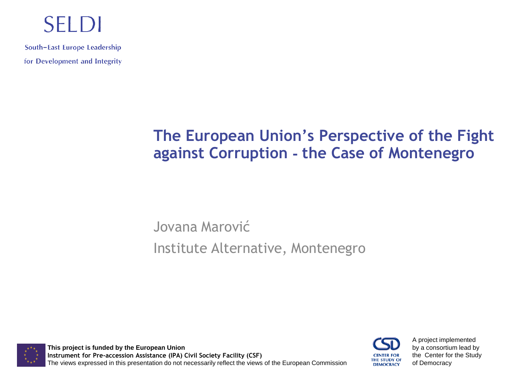#### **SELDI**

South-East Europe Leadership for Development and Integrity

#### **The European Union's Perspective of the Fight against Corruption - the Case of Montenegro**

Jovana Marović Institute Alternative, Montenegro

**This project is funded by the European Union Instrument for Pre-accession Assistance (IPA) Civil Society Facility (CSF)** The views expressed in this presentation do not necessarily reflect the views of the European Commission



A project implemented by a consortium lead by the Center for the Study of Democracy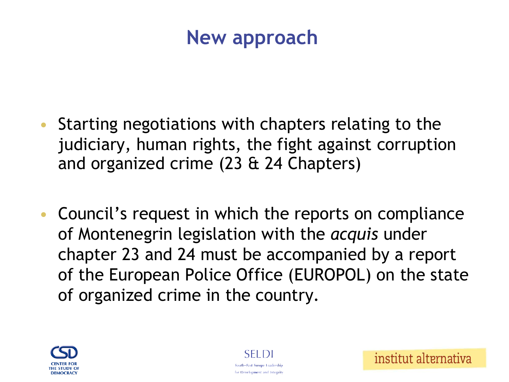#### **New approach**

- Starting negotiations with chapters relating to the judiciary, human rights, the fight against corruption and organized crime (23 & 24 Chapters)
- Council's request in which the reports on compliance of Montenegrin legislation with the *acquis* under chapter 23 and 24 must be accompanied by a report of the European Police Office (EUROPOL) on the state of organized crime in the country.





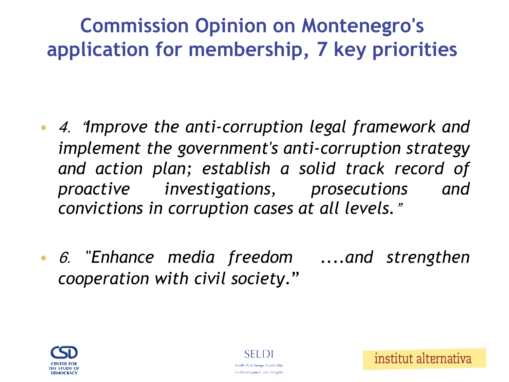## **Commission Opinion on Montenegro's application for membership, 7 key priorities**

- 4. "*Improve the anti-corruption legal framework and implement the government's anti-corruption strategy and action plan; establish a solid track record of proactive investigations, prosecutions and convictions in corruption cases at all levels.*"
- 6. "*Enhance media freedom ....and strengthen cooperation with civil society*."



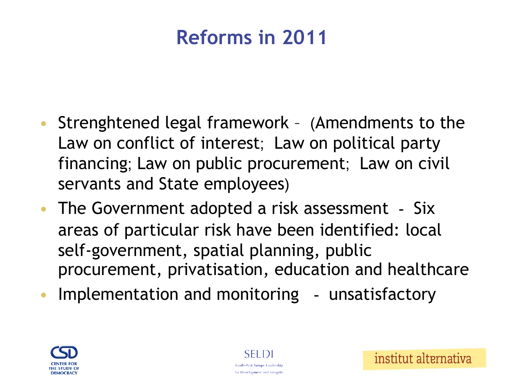## **Reforms in 2011**

- Strenghtened legal framework (Amendments to the Law on conflict of interest; Law on political party financing; Law on public procurement; Law on civil servants and State employees)
- The Government adopted a risk assessment Six areas of particular risk have been identified: local self-government, spatial planning, public procurement, privatisation, education and healthcare
- Implementation and monitoring unsatisfactory

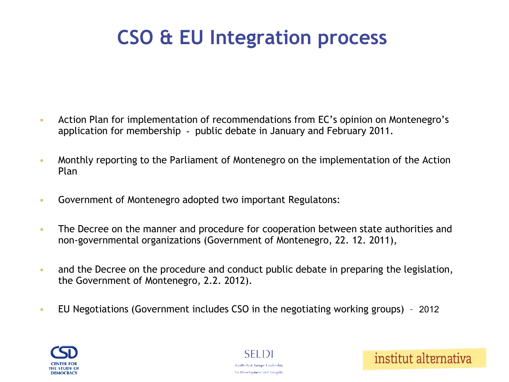## **CSO & EU Integration process**

- Action Plan for implementation of recommendations from EC's opinion on Montenegro's application for membership - public debate in January and February 2011.
- Monthly reporting to the Parliament of Montenegro on the implementation of the Action Plan
- Government of Montenegro adopted two important Regulatons:
- The Decree on the manner and procedure for cooperation between state authorities and non-governmental organizations (Government of Montenegro, 22. 12. 2011),
- and the Decree on the procedure and conduct public debate in preparing the legislation, the Government of Montenegro, 2.2. 2012).
- EU Negotiations (Government includes CSO in the negotiating working groups) 2012





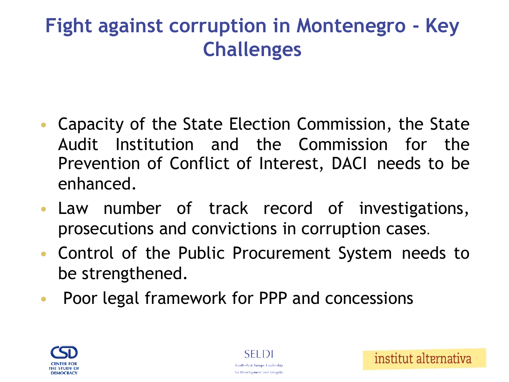#### **Fight against corruption in Montenegro - Key Challenges**

- Capacity of the State Election Commission, the State Audit Institution and the Commission for the Prevention of Conflict of Interest, DACI needs to be enhanced.
- Law number of track record of investigations, prosecutions and convictions in corruption cases.
- Control of the Public Procurement System needs to be strengthened.
- Poor legal framework for PPP and concessions